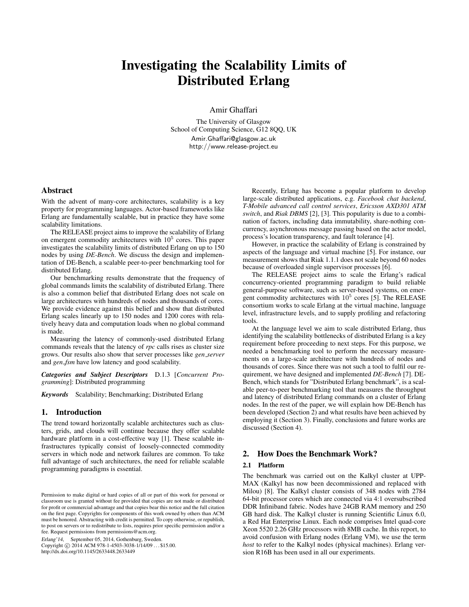# Investigating the Scalability Limits of Distributed Erlang

Amir Ghaffari

The University of Glasgow School of Computing Science, G12 8QQ, UK Amir.Ghaffari@glasgow.ac.uk http://www.release-project.eu

# Abstract

With the advent of many-core architectures, scalability is a key property for programming languages. Actor-based frameworks like Erlang are fundamentally scalable, but in practice they have some scalability limitations.

The RELEASE project aims to improve the scalability of Erlang on emergent commodity architectures with  $10^5$  cores. This paper investigates the scalability limits of distributed Erlang on up to 150 nodes by using *DE-Bench*. We discuss the design and implementation of DE-Bench, a scalable peer-to-peer benchmarking tool for distributed Erlang.

Our benchmarking results demonstrate that the frequency of global commands limits the scalability of distributed Erlang. There is also a common belief that distributed Erlang does not scale on large architectures with hundreds of nodes and thousands of cores. We provide evidence against this belief and show that distributed Erlang scales linearly up to 150 nodes and 1200 cores with relatively heavy data and computation loads when no global command is made.

Measuring the latency of commonly-used distributed Erlang commands reveals that the latency of *rpc* calls rises as cluster size grows. Our results also show that server processes like *gen server* and *gen fsm* have low latency and good scalability.

*Categories and Subject Descriptors* D.1.3 [*Concurrent Programming*]: Distributed programming

*Keywords* Scalability; Benchmarking; Distributed Erlang

## 1. Introduction

The trend toward horizontally scalable architectures such as clusters, grids, and clouds will continue because they offer scalable hardware platform in a cost-effective way [1]. These scalable infrastructures typically consist of loosely-connected commodity servers in which node and network failures are common. To take full advantage of such architectures, the need for reliable scalable programming paradigms is essential.

Erlang'14, September 05, 2014, Gothenburg, Sweden.

Copyright © 2014 ACM 978-1-4503-3038-1/14/09 ... \$15.00. http://dx.doi.org/10.1145/2633448.2633449

Recently, Erlang has become a popular platform to develop large-scale distributed applications, e.g. *Facebook chat backend*, *T-Mobile advanced call control services*, *Ericsson AXD301 ATM switch*, and *Riak DBMS* [2], [3]. This popularity is due to a combination of factors, including data immutability, share-nothing concurrency, asynchronous message passing based on the actor model, process's location transparency, and fault tolerance [4].

However, in practice the scalability of Erlang is constrained by aspects of the language and virtual machine [5]. For instance, our measurement shows that Riak 1.1.1 does not scale beyond 60 nodes because of overloaded single supervisor processes [6].

The RELEASE project aims to scale the Erlang's radical concurrency-oriented programming paradigm to build reliable general-purpose software, such as server-based systems, on emergent commodity architectures with  $10^5$  cores [5]. The RELEASE consortium works to scale Erlang at the virtual machine, language level, infrastructure levels, and to supply profiling and refactoring tools.

At the language level we aim to scale distributed Erlang, thus identifying the scalability bottlenecks of distributed Erlang is a key requirement before proceeding to next steps. For this purpose, we needed a benchmarking tool to perform the necessary measurements on a large-scale architecture with hundreds of nodes and thousands of cores. Since there was not such a tool to fulfil our requirement, we have designed and implemented *DE-Bench* [7]. DE-Bench, which stands for "Distributed Erlang benchmark", is a scalable peer-to-peer benchmarking tool that measures the throughput and latency of distributed Erlang commands on a cluster of Erlang nodes. In the rest of the paper, we will explain how DE-Bench has been developed (Section 2) and what results have been achieved by employing it (Section 3). Finally, conclusions and future works are discussed (Section 4).

# 2. How Does the Benchmark Work?

#### 2.1 Platform

The benchmark was carried out on the Kalkyl cluster at UPP-MAX (Kalkyl has now been decommissioned and replaced with Milou) [8]. The Kalkyl cluster consists of 348 nodes with 2784 64-bit processor cores which are connected via 4:1 oversubscribed DDR Infiniband fabric. Nodes have 24GB RAM memory and 250 GB hard disk. The Kalkyl cluster is running Scientific Linux 6.0, a Red Hat Enterprise Linux. Each node comprises Intel quad-core Xeon 5520 2.26 GHz processors with 8MB cache. In this report, to avoid confusion with Erlang nodes (Erlang VM), we use the term *host* to refer to the Kalkyl nodes (physical machines). Erlang version R16B has been used in all our experiments.

Permission to make digital or hard copies of all or part of this work for personal or classroom use is granted without fee provided that copies are not made or distributed for profit or commercial advantage and that copies bear this notice and the full citation on the first page. Copyrights for components of this work owned by others than ACM must be honored. Abstracting with credit is permitted. To copy otherwise, or republish, to post on servers or to redistribute to lists, requires prior specific permission and/or a fee. Request permissions from permissions@acm.org.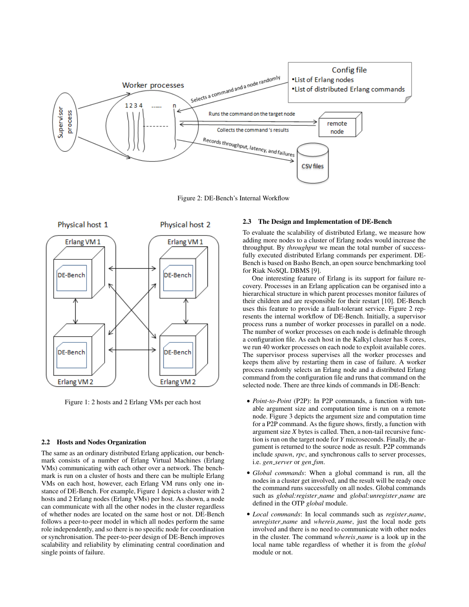

Figure 2: DE-Bench's Internal Workflow



Figure 1: 2 hosts and 2 Erlang VMs per each host

#### 2.2 Hosts and Nodes Organization

The same as an ordinary distributed Erlang application, our benchmark consists of a number of Erlang Virtual Machines (Erlang VMs) communicating with each other over a network. The benchmark is run on a cluster of hosts and there can be multiple Erlang VMs on each host, however, each Erlang VM runs only one instance of DE-Bench. For example, Figure 1 depicts a cluster with 2 hosts and 2 Erlang nodes (Erlang VMs) per host. As shown, a node can communicate with all the other nodes in the cluster regardless of whether nodes are located on the same host or not. DE-Bench follows a peer-to-peer model in which all nodes perform the same role independently, and so there is no specific node for coordination or synchronisation. The peer-to-peer design of DE-Bench improves scalability and reliability by eliminating central coordination and single points of failure.

## 2.3 The Design and Implementation of DE-Bench

To evaluate the scalability of distributed Erlang, we measure how adding more nodes to a cluster of Erlang nodes would increase the throughput. By *throughput* we mean the total number of successfully executed distributed Erlang commands per experiment. DE-Bench is based on Basho Bench, an open source benchmarking tool for Riak NoSQL DBMS [9].

One interesting feature of Erlang is its support for failure recovery. Processes in an Erlang application can be organised into a hierarchical structure in which parent processes monitor failures of their children and are responsible for their restart [10]. DE-Bench uses this feature to provide a fault-tolerant service. Figure 2 represents the internal workflow of DE-Bench. Initially, a supervisor process runs a number of worker processes in parallel on a node. The number of worker processes on each node is definable through a configuration file. As each host in the Kalkyl cluster has 8 cores, we run 40 worker processes on each node to exploit available cores. The supervisor process supervises all the worker processes and keeps them alive by restarting them in case of failure. A worker process randomly selects an Erlang node and a distributed Erlang command from the configuration file and runs that command on the selected node. There are three kinds of commands in DE-Bench:

- *Point-to-Point* (P2P): In P2P commands, a function with tunable argument size and computation time is run on a remote node. Figure 3 depicts the argument size and computation time for a P2P command. As the figure shows, firstly, a function with argument size *X* bytes is called. Then, a non-tail recursive function is run on the target node for *Y* microseconds. Finally, the argument is returned to the source node as result. P2P commands include *spawn*, *rpc*, and synchronous calls to server processes, i.e. *gen server* or *gen fsm*.
- *Global commands*: When a global command is run, all the nodes in a cluster get involved, and the result will be ready once the command runs successfully on all nodes. Global commands such as *global:register name* and *global:unregister name* are defined in the OTP *global* module.
- *Local commands*: In local commands such as *register name*, *unregister name* and *whereis name*, just the local node gets involved and there is no need to communicate with other nodes in the cluster. The command *whereis name* is a look up in the local name table regardless of whether it is from the *global* module or not.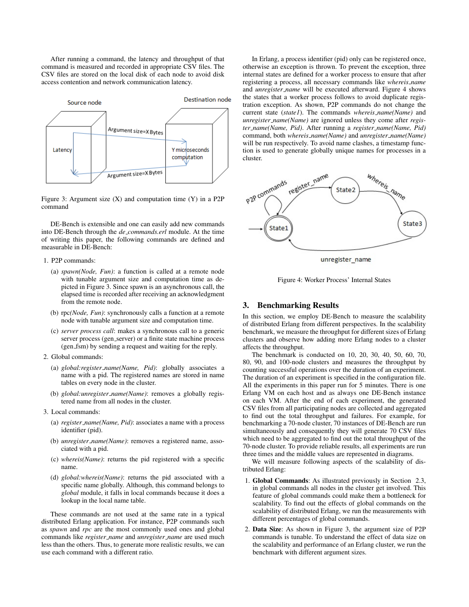After running a command, the latency and throughput of that command is measured and recorded in appropriate CSV files. The CSV files are stored on the local disk of each node to avoid disk access contention and network communication latency.



Figure 3: Argument size  $(X)$  and computation time  $(Y)$  in a P2P command

DE-Bench is extensible and one can easily add new commands into DE-Bench through the *de commands.erl* module. At the time of writing this paper, the following commands are defined and measurable in DE-Bench:

#### 1. P2P commands:

- (a) *spawn(Node, Fun)*: a function is called at a remote node with tunable argument size and computation time as depicted in Figure 3. Since spawn is an asynchronous call, the elapsed time is recorded after receiving an acknowledgment from the remote node.
- (b) rpc*(Node, Fun)*: synchronously calls a function at a remote node with tunable argument size and computation time.
- (c) *server process call*: makes a synchronous call to a generic server process (gen\_server) or a finite state machine process (gen\_fsm) by sending a request and waiting for the reply.
- 2. Global commands:
	- (a) *global:register name(Name, Pid)*: globally associates a name with a pid. The registered names are stored in name tables on every node in the cluster.
	- (b) *global:unregister name(Name)*: removes a globally registered name from all nodes in the cluster.
- 3. Local commands:
	- (a) *register name(Name, Pid)*: associates a name with a process identifier (pid).
	- (b) *unregister name(Name)*: removes a registered name, associated with a pid.
	- (c) *whereis(Name)*: returns the pid registered with a specific name.
	- (d) *global:whereis(Name)*: returns the pid associated with a specific name globally. Although, this command belongs to *global* module, it falls in local commands because it does a lookup in the local name table.

These commands are not used at the same rate in a typical distributed Erlang application. For instance, P2P commands such as *spawn* and *rpc* are the most commonly used ones and global commands like *register name* and *unregister name* are used much less than the others. Thus, to generate more realistic results, we can use each command with a different ratio.

In Erlang, a process identifier (pid) only can be registered once, otherwise an exception is thrown. To prevent the exception, three internal states are defined for a worker process to ensure that after registering a process, all necessary commands like *whereis name* and *unregister name* will be executed afterward. Figure 4 shows the states that a worker process follows to avoid duplicate registration exception. As shown, P2P commands do not change the current state (*state1*). The commands *whereis name(Name)* and *unregister name(Name)* are ignored unless they come after *register name(Name, Pid)*. After running a *register name(Name, Pid)* command, both *whereis name(Name)* and *unregister name(Name)* will be run respectively. To avoid name clashes, a timestamp function is used to generate globally unique names for processes in a cluster.



unregister\_name

Figure 4: Worker Process' Internal States

#### 3. Benchmarking Results

In this section, we employ DE-Bench to measure the scalability of distributed Erlang from different perspectives. In the scalability benchmark, we measure the throughput for different sizes of Erlang clusters and observe how adding more Erlang nodes to a cluster affects the throughput.

The benchmark is conducted on 10, 20, 30, 40, 50, 60, 70, 80, 90, and 100-node clusters and measures the throughput by counting successful operations over the duration of an experiment. The duration of an experiment is specified in the configuration file. All the experiments in this paper run for 5 minutes. There is one Erlang VM on each host and as always one DE-Bench instance on each VM. After the end of each experiment, the generated CSV files from all participating nodes are collected and aggregated to find out the total throughput and failures. For example, for benchmarking a 70-node cluster, 70 instances of DE-Bench are run simultaneously and consequently they will generate 70 CSV files which need to be aggregated to find out the total throughput of the 70-node cluster. To provide reliable results, all experiments are run three times and the middle values are represented in diagrams.

We will measure following aspects of the scalability of distributed Erlang:

- 1. Global Commands: As illustrated previously in Section 2.3, in global commands all nodes in the cluster get involved. This feature of global commands could make them a bottleneck for scalability. To find out the effects of global commands on the scalability of distributed Erlang, we run the measurements with different percentages of global commands.
- 2. Data Size: As shown in Figure 3, the argument size of P2P commands is tunable. To understand the effect of data size on the scalability and performance of an Erlang cluster, we run the benchmark with different argument sizes.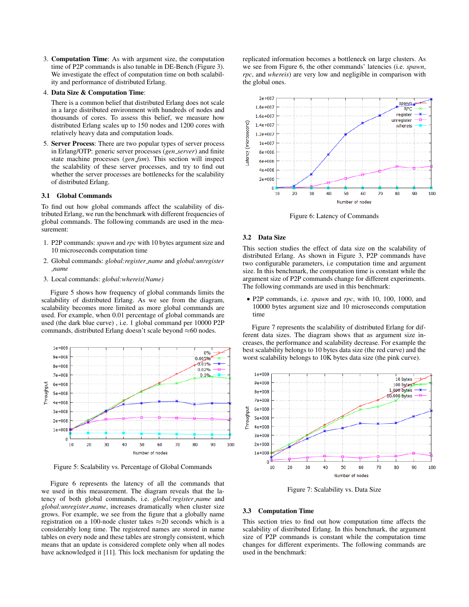3. Computation Time: As with argument size, the computation time of P2P commands is also tunable in DE-Bench (Figure 3). We investigate the effect of computation time on both scalability and performance of distributed Erlang.

#### 4. Data Size & Computation Time:

There is a common belief that distributed Erlang does not scale in a large distributed environment with hundreds of nodes and thousands of cores. To assess this belief, we measure how distributed Erlang scales up to 150 nodes and 1200 cores with relatively heavy data and computation loads.

5. Server Process: There are two popular types of server process in Erlang/OTP: generic server processes (*gen server*) and finite state machine processes (*gen fsm*). This section will inspect the scalability of these server processes, and try to find out whether the server processes are bottlenecks for the scalability of distributed Erlang.

#### 3.1 Global Commands

To find out how global commands affect the scalability of distributed Erlang, we run the benchmark with different frequencies of global commands. The following commands are used in the measurement:

- 1. P2P commands: *spawn* and *rpc* with 10 bytes argument size and 10 microseconds computation time
- 2. Global commands: *global:register name* and *global:unregister name*
- 3. Local commands: *global:whereis(Name)*

Figure 5 shows how frequency of global commands limits the scalability of distributed Erlang. As we see from the diagram, scalability becomes more limited as more global commands are used. For example, when 0.01 percentage of global commands are used (the dark blue curve) , i.e. 1 global command per 10000 P2P commands, distributed Erlang doesn't scale beyond ≈60 nodes.



Figure 5: Scalability vs. Percentage of Global Commands

Figure 6 represents the latency of all the commands that we used in this measurement. The diagram reveals that the latency of both global commands, i.e. *global:register name* and *global:unregister name*, increases dramatically when cluster size grows. For example, we see from the figure that a globally name registration on a 100-node cluster takes  $\approx$  20 seconds which is a considerably long time. The registered names are stored in name tables on every node and these tables are strongly consistent, which means that an update is considered complete only when all nodes have acknowledged it [11]. This lock mechanism for updating the replicated information becomes a bottleneck on large clusters. As we see from Figure 6, the other commands' latencies (i.e. *spawn*, *rpc*, and *whereis*) are very low and negligible in comparison with the global ones.



Figure 6: Latency of Commands

## 3.2 Data Size

This section studies the effect of data size on the scalability of distributed Erlang. As shown in Figure 3, P2P commands have two configurable parameters, i.e computation time and argument size. In this benchmark, the computation time is constant while the argument size of P2P commands change for different experiments. The following commands are used in this benchmark:

• P2P commands, i.e. *spawn* and *rpc*, with 10, 100, 1000, and 10000 bytes argument size and 10 microseconds computation time

Figure 7 represents the scalability of distributed Erlang for different data sizes. The diagram shows that as argument size increases, the performance and scalability decrease. For example the best scalability belongs to 10 bytes data size (the red curve) and the worst scalability belongs to 10K bytes data size (the pink curve).



Figure 7: Scalability vs. Data Size

#### 3.3 Computation Time

This section tries to find out how computation time affects the scalability of distributed Erlang. In this benchmark, the argument size of P2P commands is constant while the computation time changes for different experiments. The following commands are used in the benchmark: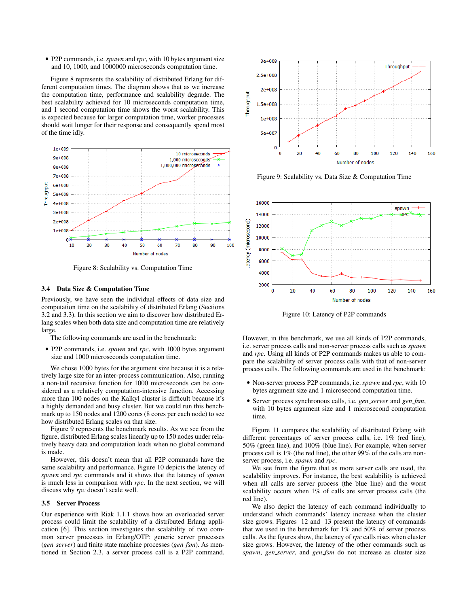• P2P commands, i.e. *spawn* and *rpc*, with 10 bytes argument size and 10, 1000, and 1000000 microseconds computation time.

Figure 8 represents the scalability of distributed Erlang for different computation times. The diagram shows that as we increase the computation time, performance and scalability degrade. The best scalability achieved for 10 microseconds computation time, and 1 second computation time shows the worst scalability. This is expected because for larger computation time, worker processes should wait longer for their response and consequently spend most of the time idly.



Figure 8: Scalability vs. Computation Time

#### 3.4 Data Size & Computation Time

Previously, we have seen the individual effects of data size and computation time on the scalability of distributed Erlang (Sections 3.2 and 3.3). In this section we aim to discover how distributed Erlang scales when both data size and computation time are relatively large.

The following commands are used in the benchmark:

• P2P commands, i.e. *spawn* and *rpc*, with 1000 bytes argument size and 1000 microseconds computation time.

We chose 1000 bytes for the argument size because it is a relatively large size for an inter-process communication. Also, running a non-tail recursive function for 1000 microseconds can be considered as a relatively computation-intensive function. Accessing more than 100 nodes on the Kalkyl cluster is difficult because it's a highly demanded and busy cluster. But we could run this benchmark up to 150 nodes and 1200 cores (8 cores per each node) to see how distributed Erlang scales on that size.

Figure 9 represents the benchmark results. As we see from the figure, distributed Erlang scales linearly up to 150 nodes under relatively heavy data and computation loads when no global command is made.

However, this doesn't mean that all P2P commands have the same scalability and performance. Figure 10 depicts the latency of *spawn* and *rpc* commands and it shows that the latency of *spawn* is much less in comparison with *rpc*. In the next section, we will discuss why *rpc* doesn't scale well.

#### 3.5 Server Process

Our experience with Riak 1.1.1 shows how an overloaded server process could limit the scalability of a distributed Erlang application [6]. This section investigates the scalability of two common server processes in Erlang/OTP: generic server processes (*gen server*) and finite state machine processes (*gen fsm*). As mentioned in Section 2.3, a server process call is a P2P command.



Figure 9: Scalability vs. Data Size & Computation Time



Figure 10: Latency of P2P commands

However, in this benchmark, we use all kinds of P2P commands, i.e. server process calls and non-server process calls such as *spawn* and *rpc*. Using all kinds of P2P commands makes us able to compare the scalability of server process calls with that of non-server process calls. The following commands are used in the benchmark:

- Non-server process P2P commands, i.e. *spawn* and *rpc*, with 10 bytes argument size and 1 microsecond computation time.
- Server process synchronous calls, i.e. *gen server* and *gen fsm*, with 10 bytes argument size and 1 microsecond computation time.

Figure 11 compares the scalability of distributed Erlang with different percentages of server process calls, i.e. 1% (red line), 50% (green line), and 100% (blue line). For example, when server process call is 1% (the red line), the other 99% of the calls are nonserver process, i.e. *spawn* and *rpc*.

We see from the figure that as more server calls are used, the scalability improves. For instance, the best scalability is achieved when all calls are server process (the blue line) and the worst scalability occurs when 1% of calls are server process calls (the red line).

We also depict the latency of each command individually to understand which commands' latency increase when the cluster size grows. Figures 12 and 13 present the latency of commands that we used in the benchmark for 1% and 50% of server process calls. As the figures show, the latency of *rpc* calls rises when cluster size grows. However, the latency of the other commands such as *spawn*, *gen server*, and *gen fsm* do not increase as cluster size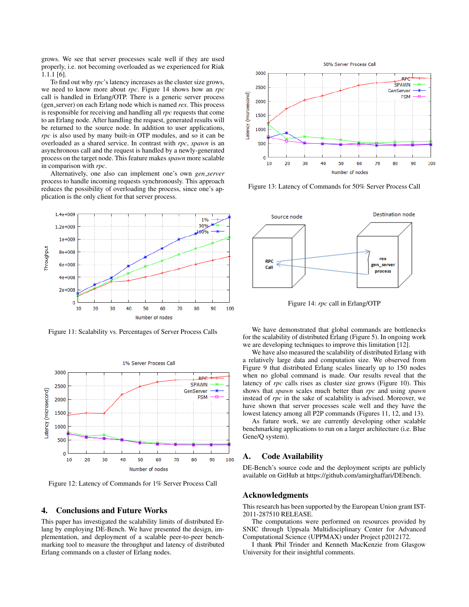grows. We see that server processes scale well if they are used properly, i.e. not becoming overloaded as we experienced for Riak 1.1.1 [6].

To find out why *rpc*'s latency increases as the cluster size grows, we need to know more about *rpc*. Figure 14 shows how an *rpc* call is handled in Erlang/OTP. There is a generic server process (gen server) on each Erlang node which is named *rex*. This process is responsible for receiving and handling all *rpc* requests that come to an Erlang node. After handling the request, generated results will be returned to the source node. In addition to user applications, *rpc* is also used by many built-in OTP modules, and so it can be overloaded as a shared service. In contrast with *rpc*, *spawn* is an asynchronous call and the request is handled by a newly-generated process on the target node. This feature makes *spawn* more scalable in comparison with *rpc*.

Alternatively, one also can implement one's own *gen server* process to handle incoming requests synchronously. This approach reduces the possibility of overloading the process, since one's application is the only client for that server process.



Figure 11: Scalability vs. Percentages of Server Process Calls



Figure 12: Latency of Commands for 1% Server Process Call

## 4. Conclusions and Future Works

This paper has investigated the scalability limits of distributed Erlang by employing DE-Bench. We have presented the design, implementation, and deployment of a scalable peer-to-peer benchmarking tool to measure the throughput and latency of distributed Erlang commands on a cluster of Erlang nodes.



Figure 13: Latency of Commands for 50% Server Process Call



Figure 14: *rpc* call in Erlang/OTP

We have demonstrated that global commands are bottlenecks for the scalability of distributed Erlang (Figure 5). In ongoing work we are developing techniques to improve this limitation [12].

We have also measured the scalability of distributed Erlang with a relatively large data and computation size. We observed from Figure 9 that distributed Erlang scales linearly up to 150 nodes when no global command is made. Our results reveal that the latency of *rpc* calls rises as cluster size grows (Figure 10). This shows that *spawn* scales much better than *rpc* and using *spawn* instead of *rpc* in the sake of scalability is advised. Moreover, we have shown that server processes scale well and they have the lowest latency among all P2P commands (Figures 11, 12, and 13).

As future work, we are currently developing other scalable benchmarking applications to run on a larger architecture (i.e. Blue Gene/Q system).

#### A. Code Availability

DE-Bench's source code and the deployment scripts are publicly available on GitHub at https://github.com/amirghaffari/DEbench.

#### Acknowledgments

This research has been supported by the European Union grant IST-2011-287510 RELEASE.

The computations were performed on resources provided by SNIC through Uppsala Multidisciplinary Center for Advanced Computational Science (UPPMAX) under Project p2012172.

I thank Phil Trinder and Kenneth MacKenzie from Glasgow University for their insightful comments.